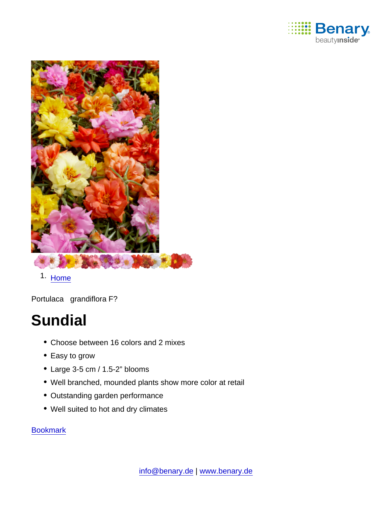

1. [Home](https://www.benary.com/)

Portulaca grandiflora F?

# **Sundial**

- Choose between 16 colors and 2 mixes
- Easy to grow
- Large 3-5 cm / 1.5-2" blooms
- Well branched, mounded plants show more color at retail
- Outstanding garden performance
- Well suited to hot and dry climates

#### [Bookmark](https://www.benary.com/flag/flag/product/6181?destination&token=9nbXimwCzwF1H6MlP7HWgJUp_SvKdZSf3xEjItiy_mI)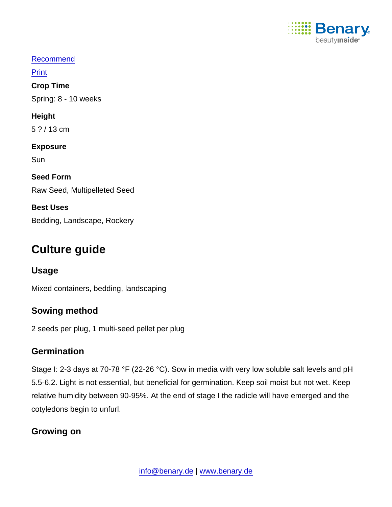

### [Recommend](mailto:?subject=Benary Portulaca grandiflora F₁ &body=https://www.benary.com/print/pdf/node/6181)

Print

Crop Time

Spring: 8 - 10 weeks

Height

5 ? / 13 cm

Exposure

**Sun** 

Seed Form Raw Seed, Multipelleted Seed

Best Uses Bedding, Landscape, Rockery

# Culture guide

Usage

Mixed containers, bedding, landscaping

# Sowing method

2 seeds per plug, 1 multi-seed pellet per plug

# **Germination**

Stage I: 2-3 days at 70-78 °F (22-26 °C). Sow in media with very low soluble salt levels and pH 5.5-6.2. Light is not essential, but beneficial for germination. Keep soil moist but not wet. Keep relative humidity between 90-95%. At the end of stage I the radicle will have emerged and the cotyledons begin to unfurl.

# Growing on